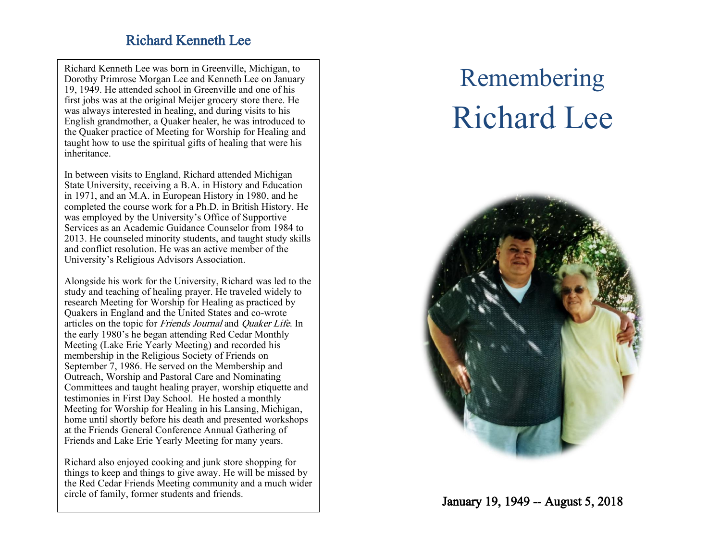## Richard Kenneth Lee

Richard Kenneth Lee was born in Greenville, Michigan , to Dorothy Primrose Morgan Lee and Kenneth Lee on January 19, 1949. He attended school in Greenville and one of his first jobs was at the original Meijer grocery store ther e. He was always interested in healing, and during visits to his English grandmother, a Quaker healer, he was introduced to the Quaker practice of Meeting for Worship for Healing and taught how to use the spiritual gifts of healing that were his inheritance.

In between visits to England, Richard attended Michigan State University, receiving a B . A . in History and Education in 1971, and an M . A . in European History in 1980 , and he completed the course work for a Ph . D . in British History. He was employed by the University's Office of Supportive Services as an Academic Guidance Counselor from 1984 to 2013. He counseled minority students, and taught study skills and conflict resolution. He was an active member of the University's Religious Advisors Association.

Alongside his work for the University, Richard was led to the study and teaching of healing prayer. He traveled widely to research Meeting for Worship for Healing as practiced by Quakers in England and the United States and co -wrote articles on the topic for Friends Journal and Quaker Life. In the early 1980's h e began attending Red Cedar Monthly Meeting (Lake Erie Yearly Meeting) and recorded his membership in the Religious Society of Friends on September 7, 1986. He served on the Membership and Outreach, Worship and Pastoral Care and Nominating Committee s and taught healing prayer, worship etiquette and testimonies in First Day School. He hosted a monthly Meeting for Worship for Healing in his Lansing, Michigan , home until shortly before his death and presented workshops at the Friends General Conference Annual Gathering of Friends and Lake Erie Yearly Meeting for many years.

Richard also enjoyed cooking and junk store shopping for things to keep and things to give away. He will be missed by the Red Cedar Friends Meeting community and a much wider circle of family, former students and friends.

# Remembering Richard Lee



January 19, 1949 -- August 5, 2018